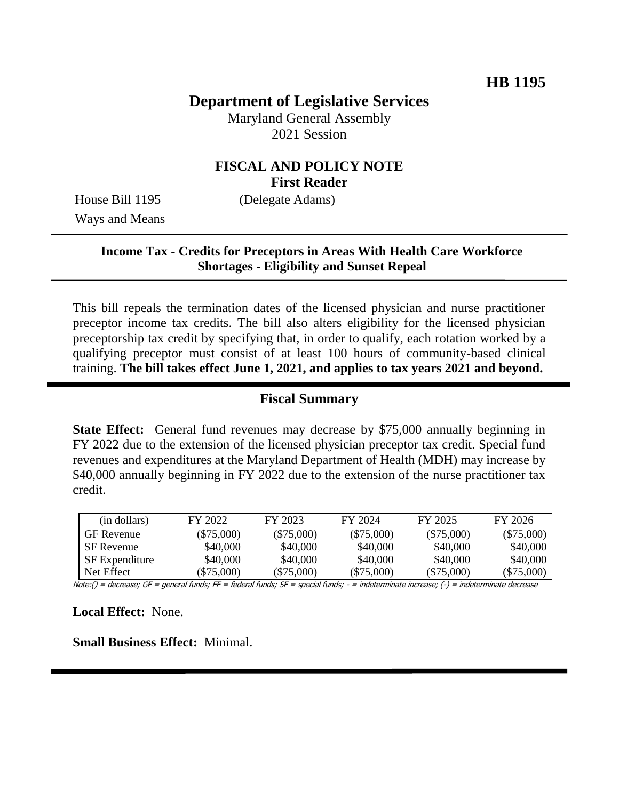# **Department of Legislative Services**

Maryland General Assembly 2021 Session

### **FISCAL AND POLICY NOTE First Reader**

Ways and Means

House Bill 1195 (Delegate Adams)

### **Income Tax - Credits for Preceptors in Areas With Health Care Workforce Shortages - Eligibility and Sunset Repeal**

This bill repeals the termination dates of the licensed physician and nurse practitioner preceptor income tax credits. The bill also alters eligibility for the licensed physician preceptorship tax credit by specifying that, in order to qualify, each rotation worked by a qualifying preceptor must consist of at least 100 hours of community-based clinical training. **The bill takes effect June 1, 2021, and applies to tax years 2021 and beyond.**

#### **Fiscal Summary**

**State Effect:** General fund revenues may decrease by \$75,000 annually beginning in FY 2022 due to the extension of the licensed physician preceptor tax credit. Special fund revenues and expenditures at the Maryland Department of Health (MDH) may increase by \$40,000 annually beginning in FY 2022 due to the extension of the nurse practitioner tax credit.

| (in dollars)          | FY 2022      | FY 2023      | FY 2024      | FY 2025      | FY 2026      |
|-----------------------|--------------|--------------|--------------|--------------|--------------|
| <b>GF</b> Revenue     | $(\$75,000)$ | $(\$75,000)$ | $(\$75,000)$ | $(\$75,000)$ | $(\$75,000)$ |
| <b>SF</b> Revenue     | \$40,000     | \$40,000     | \$40,000     | \$40,000     | \$40,000     |
| <b>SF</b> Expenditure | \$40,000     | \$40,000     | \$40,000     | \$40,000     | \$40,000     |
| Net Effect            | $(\$75,000)$ | $(\$75,000)$ | $(\$75,000)$ | $(\$75,000)$ | (\$75,000)   |

Note:() = decrease; GF = general funds; FF = federal funds; SF = special funds; - = indeterminate increase; (-) = indeterminate decrease

**Local Effect:** None.

**Small Business Effect:** Minimal.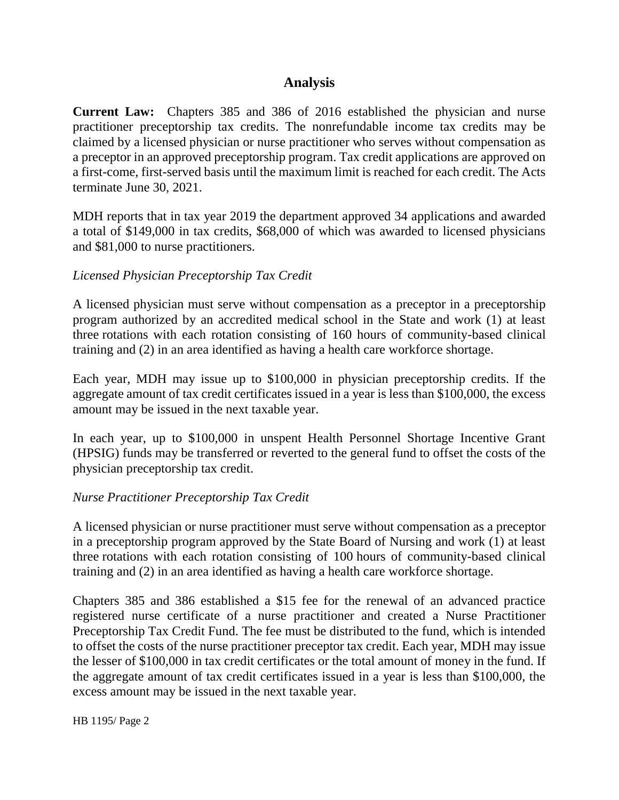# **Analysis**

**Current Law:** Chapters 385 and 386 of 2016 established the physician and nurse practitioner preceptorship tax credits. The nonrefundable income tax credits may be claimed by a licensed physician or nurse practitioner who serves without compensation as a preceptor in an approved preceptorship program. Tax credit applications are approved on a first-come, first-served basis until the maximum limit is reached for each credit. The Acts terminate June 30, 2021.

MDH reports that in tax year 2019 the department approved 34 applications and awarded a total of \$149,000 in tax credits, \$68,000 of which was awarded to licensed physicians and \$81,000 to nurse practitioners.

### *Licensed Physician Preceptorship Tax Credit*

A licensed physician must serve without compensation as a preceptor in a preceptorship program authorized by an accredited medical school in the State and work (1) at least three rotations with each rotation consisting of 160 hours of community-based clinical training and (2) in an area identified as having a health care workforce shortage.

Each year, MDH may issue up to \$100,000 in physician preceptorship credits. If the aggregate amount of tax credit certificates issued in a year is less than \$100,000, the excess amount may be issued in the next taxable year.

In each year, up to \$100,000 in unspent Health Personnel Shortage Incentive Grant (HPSIG) funds may be transferred or reverted to the general fund to offset the costs of the physician preceptorship tax credit.

#### *Nurse Practitioner Preceptorship Tax Credit*

A licensed physician or nurse practitioner must serve without compensation as a preceptor in a preceptorship program approved by the State Board of Nursing and work (1) at least three rotations with each rotation consisting of 100 hours of community-based clinical training and (2) in an area identified as having a health care workforce shortage.

Chapters 385 and 386 established a \$15 fee for the renewal of an advanced practice registered nurse certificate of a nurse practitioner and created a Nurse Practitioner Preceptorship Tax Credit Fund. The fee must be distributed to the fund, which is intended to offset the costs of the nurse practitioner preceptor tax credit. Each year, MDH may issue the lesser of \$100,000 in tax credit certificates or the total amount of money in the fund. If the aggregate amount of tax credit certificates issued in a year is less than \$100,000, the excess amount may be issued in the next taxable year.

HB 1195/ Page 2